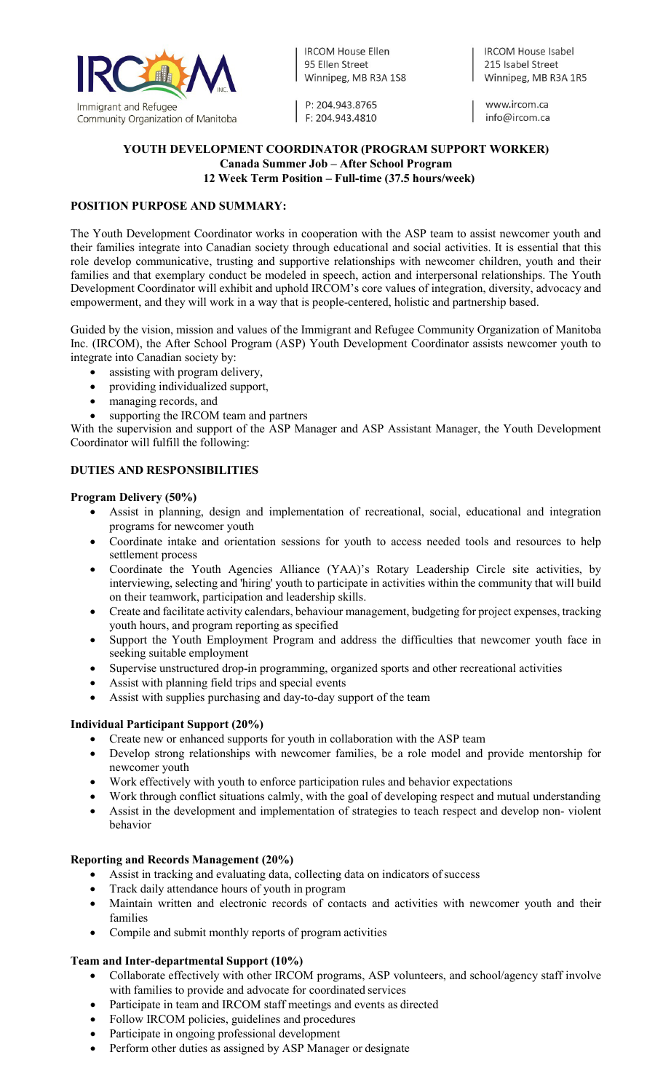

**IRCOM House Ellen** 95 Fllen Street Winnipeg, MB R3A 1S8

P: 204.943.8765 F: 204.943.4810 **IRCOM House Isabel** 215 Isabel Street Winnipeg, MB R3A 1R5

www.ircom.ca info@ircom.ca

### **YOUTH DEVELOPMENT COORDINATOR (PROGRAM SUPPORT WORKER) Canada Summer Job – After School Program 12 Week Term Position – Full-time (37.5 hours/week)**

# **POSITION PURPOSE AND SUMMARY:**

The Youth Development Coordinator works in cooperation with the ASP team to assist newcomer youth and their families integrate into Canadian society through educational and social activities. It is essential that this role develop communicative, trusting and supportive relationships with newcomer children, youth and their families and that exemplary conduct be modeled in speech, action and interpersonal relationships. The Youth Development Coordinator will exhibit and uphold IRCOM's core values of integration, diversity, advocacy and empowerment, and they will work in a way that is people-centered, holistic and partnership based.

Guided by the vision, mission and values of the Immigrant and Refugee Community Organization of Manitoba Inc. (IRCOM), the After School Program (ASP) Youth Development Coordinator assists newcomer youth to integrate into Canadian society by:

- assisting with program delivery,
- providing individualized support,
- managing records, and
- supporting the IRCOM team and partners

With the supervision and support of the ASP Manager and ASP Assistant Manager, the Youth Development Coordinator will fulfill the following:

# **DUTIES AND RESPONSIBILITIES**

### **Program Delivery (50%)**

- Assist in planning, design and implementation of recreational, social, educational and integration programs for newcomer youth
- Coordinate intake and orientation sessions for youth to access needed tools and resources to help settlement process
- Coordinate the Youth Agencies Alliance (YAA)'s Rotary Leadership Circle site activities, by interviewing, selecting and 'hiring' youth to participate in activities within the community that will build on their teamwork, participation and leadership skills.
- Create and facilitate activity calendars, behaviour management, budgeting for project expenses, tracking youth hours, and program reporting as specified
- Support the Youth Employment Program and address the difficulties that newcomer youth face in seeking suitable employment
- Supervise unstructured drop-in programming, organized sports and other recreational activities
- Assist with planning field trips and special events
- Assist with supplies purchasing and day-to-day support of the team

# **Individual Participant Support (20%)**

- Create new or enhanced supports for youth in collaboration with the ASP team
- Develop strong relationships with newcomer families, be a role model and provide mentorship for newcomer youth
- Work effectively with youth to enforce participation rules and behavior expectations
- Work through conflict situations calmly, with the goal of developing respect and mutual understanding
- Assist in the development and implementation of strategies to teach respect and develop non- violent behavior

### **Reporting and Records Management (20%)**

- Assist in tracking and evaluating data, collecting data on indicators of success
- Track daily attendance hours of youth in program
- Maintain written and electronic records of contacts and activities with newcomer youth and their families
- Compile and submit monthly reports of program activities

# **Team and Inter-departmental Support (10%)**

- Collaborate effectively with other IRCOM programs, ASP volunteers, and school/agency staff involve with families to provide and advocate for coordinated services
- Participate in team and IRCOM staff meetings and events as directed
- Follow IRCOM policies, guidelines and procedures
- Participate in ongoing professional development
- Perform other duties as assigned by ASP Manager or designate